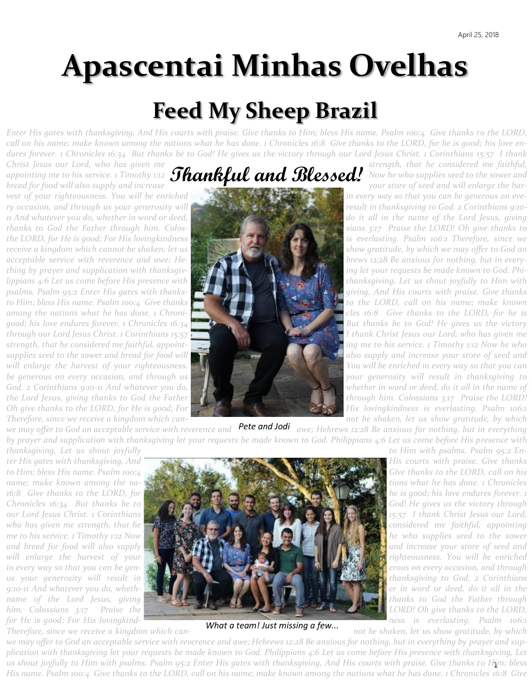# **Apascentai Minhas Ovelhas**

# **Feed My Sheep Brazil**

*Enter His gates with thanksgiving, And His courts with praise. Give thanks to Him; bless His name. Psalm 100:4 Give thanks to the LORD, call on his name; make known among the nations what he has done. 1 Chronicles 16:8 Give thanks to the LORD, for he is good; his love endures forever. 1 Chronicles 16:34 But thanks be to God! He gives us the victory through our Lord Jesus Christ. 1 Corinthians 15:57 I thank* 

*Christ Jesus our Lord, who has given me* strength, that he considered me faithful, appointing me to his service. 1 Timothy 1:12 **MANRIII ANA MEMPASEA!** Now he who supplies seed to the sower and *britat festis our Lord, who has given the*<br>appointing me to his service. 1 Timothy 1:12 **Thankful and Blessed!** Now he who supplies seed to the sower and<br>bread for food will also supply and increase

vest of your righteousness. You will be enriched **in the event of the state of the very way so that you can be generous on eve***ry occasion, and through us your generosity will result in thanksgiving to God. 2 Corinthians 9:10-11 And whatever you do, whether in word or deed, do it all in the name of the Lord Jesus, giving thanks to God the Father through him. Colos- sians 3:17 Praise the LORD! Oh give thanks to the LORD, for He is good; For His lovingkindness is the strategy of the lord is everlasting. Psalm 106:1 Therefore, since we receive a kingdom which cannot be shaken, let us show and the state of the state of the show gratitude, by which we may offer to God an acceptable service with reverence and awe; He- brews 12:28 Be anxious for nothing, but in everything by prayer and supplication with thanksgiv-*  $\mathcal{F}$  **ing ing let your requests be made known to God. Phi***lippians 4:6 Let us come before His presence with*  $\mathcal{L}$  *limiting the straight individual thanksgiving, Let us shout joyfully to Him with* $\mathcal{L}$ *psalms. Psalm 95:2 Enter His gates with thanks- giving, And His courts with praise. Give thanks*  to Him; bless His name. Psalm 100:4 Give thanks **thanks to the LORD, call on his name; make known** *among the nations what he has done. 1 Chroni- cles 16:8 Give thanks to the LORD, for he is*  good; his love endures forever. 1 Chronicles 16:34 **But thanks** be to God! He gives us the victory *through our Lord Jesus Christ. 1 Corinthians 15:57 I Thank Christ Jesus our Lord, who has given me strength, that he considered me faithful, appoint- ing me to his service. 1 Timothy 1:12 Now he who supplies seed to the sower and bread for food will also supply and increase your store of seed and supply and increase your store of seed and* will enlarge the harvest of your righteousness. **You will be enriched in every way so that you can** *you will be enriched in every way so that you can be generous on every occasion, and through us* your *your generosity will result in thanksgiving to your generosity will result in thanksgiving to God.* 2 Corinthians 9:10-11 And whatever you do, when the state of the state whether in word or deed, do it all in the name of *the Lord Jesus, giving thanks to God the Father* **the Lord of through him. Colossians 3:17 Praise the LORD!** *Oh give thanks to the LORD, for He is good; For His loving Kingkindness is everlasting. Psalm 106:1 Therefore, since we receive a kingdom which can- not be shaken, let us show gratitude, by which* 



we may offer to God an acceptable service with reverence and **Pete and Jodi** awe; Hebrews 12:28 Be anxious for nothing, but in everything *by prayer and supplication with thanksgiving let your requests be made known to God. Philippians 4:6 Let us come before His presence with thanksgiving, Let us shout joyfully to Him with psalms. Psalm 95:2 En-*



*What a team! Just missing a few...* 

*for He is good; For His lovingkind- ness is everlasting. Psalm 106:1* 

*Therefore, since we receive a kingdom which can- not be shaken, let us show gratitude, by which* 

us shout joyfully to Him with psalms. Psalm 95:2 Enter His gates with thanksgiving, And His courts with praise. Give thanks to H<u>i</u>m; bless *we may offer to God an acceptable service with reverence and awe; Hebrews 12:28 Be anxious for nothing, but in everything by prayer and supplication with thanksgiving let your requests be made known to God. Philippians 4:6 Let us come before His presence with thanksgiving, Let His name. Psalm 100:4 Give thanks to the LORD, call on his name; make known among the nations what he has done. 1 Chronicles 16:8 Give*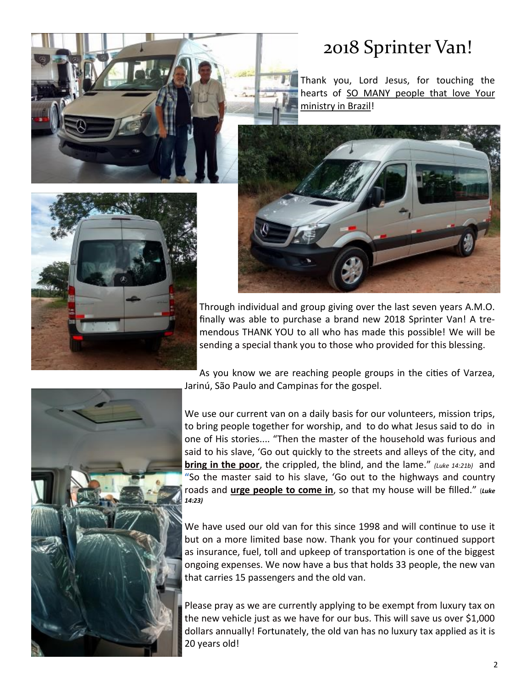

#### 2018 Sprinter Van!

Thank you, Lord Jesus, for touching the hearts of SO MANY people that love Your ministry in Brazil!





As you know we are reaching people groups in the cities of Varzea, Jarinú, São Paulo and Campinas for the gospel.

We use our current van on a daily basis for our volunteers, mission trips, to bring people together for worship, and to do what Jesus said to do in one of His stories.... "Then the master of the household was furious and said to his slave, 'Go out quickly to the streets and alleys of the city, and **bring in the poor**, the crippled, the blind, and the lame." *(Luke 14:21b)* and **"**So the master said to his slave, 'Go out to the highways and country roads and **urge people to come in**, so that my house will be filled." (*Luke 14:23)*

We have used our old van for this since 1998 and will continue to use it but on a more limited base now. Thank you for your continued support as insurance, fuel, toll and upkeep of transportation is one of the biggest ongoing expenses. We now have a bus that holds 33 people, the new van that carries 15 passengers and the old van.

Please pray as we are currently applying to be exempt from luxury tax on the new vehicle just as we have for our bus. This will save us over \$1,000 dollars annually! Fortunately, the old van has no luxury tax applied as it is 20 years old!



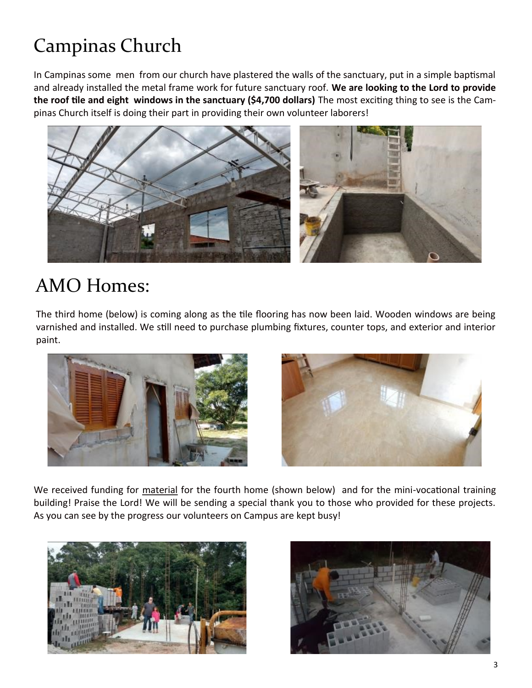## Campinas Church

In Campinas some men from our church have plastered the walls of the sanctuary, put in a simple baptismal and already installed the metal frame work for future sanctuary roof. **We are looking to the Lord to provide the roof tile and eight windows in the sanctuary (\$4,700 dollars)** The most exciting thing to see is the Campinas Church itself is doing their part in providing their own volunteer laborers!



#### AMO Homes:

The third home (below) is coming along as the tile flooring has now been laid. Wooden windows are being varnished and installed. We still need to purchase plumbing fixtures, counter tops, and exterior and interior paint.





We received funding for material for the fourth home (shown below) and for the mini-vocational training building! Praise the Lord! We will be sending a special thank you to those who provided for these projects. As you can see by the progress our volunteers on Campus are kept busy!



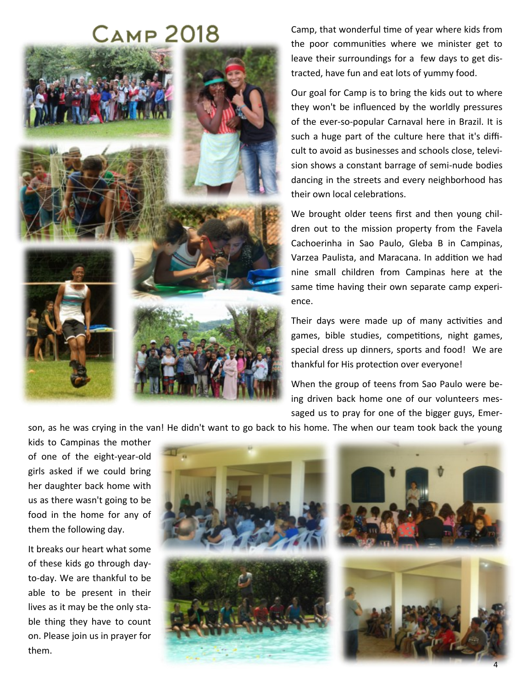### **Самр 2018**



Camp, that wonderful time of year where kids from the poor communities where we minister get to leave their surroundings for a few days to get distracted, have fun and eat lots of yummy food.

Our goal for Camp is to bring the kids out to where they won't be influenced by the worldly pressures of the ever-so-popular Carnaval here in Brazil. It is such a huge part of the culture here that it's difficult to avoid as businesses and schools close, television shows a constant barrage of semi-nude bodies dancing in the streets and every neighborhood has their own local celebrations.

We brought older teens first and then young children out to the mission property from the Favela Cachoerinha in Sao Paulo, Gleba B in Campinas, Varzea Paulista, and Maracana. In addition we had nine small children from Campinas here at the same time having their own separate camp experience.

Their days were made up of many activities and games, bible studies, competitions, night games, special dress up dinners, sports and food! We are thankful for His protection over everyone!

When the group of teens from Sao Paulo were being driven back home one of our volunteers messaged us to pray for one of the bigger guys, Emer-

son, as he was crying in the van! He didn't want to go back to his home. The when our team took back the young

kids to Campinas the mother of one of the eight-year-old girls asked if we could bring her daughter back home with us as there wasn't going to be food in the home for any of them the following day.

It breaks our heart what some of these kids go through dayto-day. We are thankful to be able to be present in their lives as it may be the only stable thing they have to count on. Please join us in prayer for them.